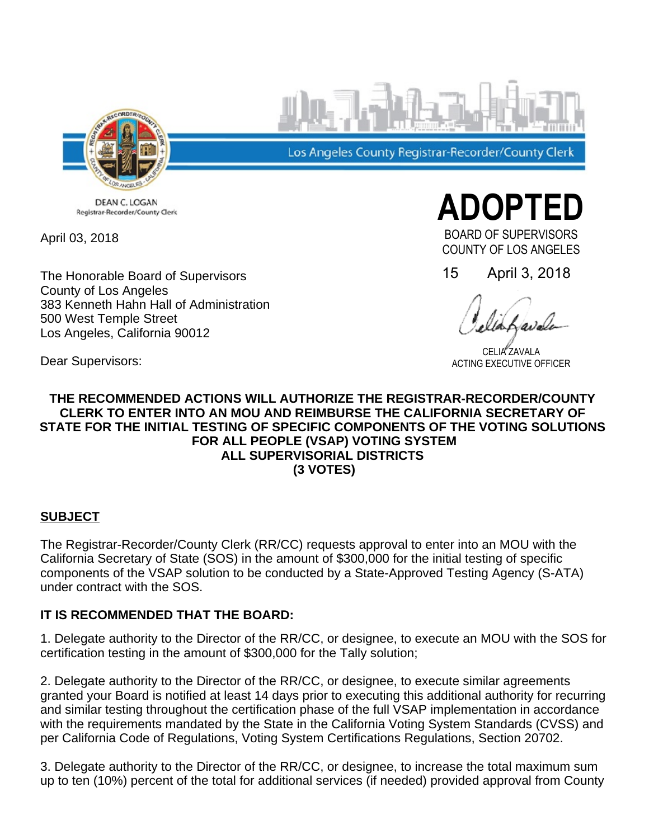

Los Angeles County Registrar-Recorder/County Clerk

DEAN C. LOGAN Registrar-Recorder/County Clerk

April 03, 2018

The Honorable Board of Supervisors County of Los Angeles 383 Kenneth Hahn Hall of Administration 500 West Temple Street Los Angeles, California 90012

15 April 3, 2018

**ADOPTEI** 

BOARD OF SUPERVISORS COUNTY OF LOS ANGELES

CELIA ZAVALA ACTING EXECUTIVE OFFICER

Dear Supervisors:

#### **THE RECOMMENDED ACTIONS WILL AUTHORIZE THE REGISTRAR-RECORDER/COUNTY CLERK TO ENTER INTO AN MOU AND REIMBURSE THE CALIFORNIA SECRETARY OF STATE FOR THE INITIAL TESTING OF SPECIFIC COMPONENTS OF THE VOTING SOLUTIONS FOR ALL PEOPLE (VSAP) VOTING SYSTEM ALL SUPERVISORIAL DISTRICTS (3 VOTES)**

## **SUBJECT**

The Registrar-Recorder/County Clerk (RR/CC) requests approval to enter into an MOU with the California Secretary of State (SOS) in the amount of \$300,000 for the initial testing of specific components of the VSAP solution to be conducted by a State-Approved Testing Agency (S-ATA) under contract with the SOS.

## **IT IS RECOMMENDED THAT THE BOARD:**

1. Delegate authority to the Director of the RR/CC, or designee, to execute an MOU with the SOS for certification testing in the amount of \$300,000 for the Tally solution;

2. Delegate authority to the Director of the RR/CC, or designee, to execute similar agreements granted your Board is notified at least 14 days prior to executing this additional authority for recurring and similar testing throughout the certification phase of the full VSAP implementation in accordance with the requirements mandated by the State in the California Voting System Standards (CVSS) and per California Code of Regulations, Voting System Certifications Regulations, Section 20702.

3. Delegate authority to the Director of the RR/CC, or designee, to increase the total maximum sum up to ten (10%) percent of the total for additional services (if needed) provided approval from County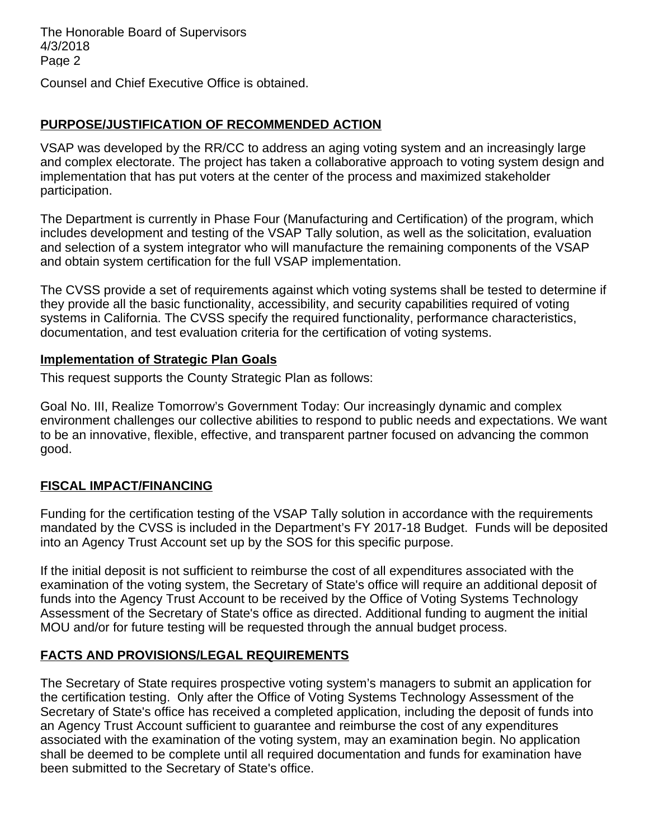The Honorable Board of Supervisors 4/3/2018 Page 2

Counsel and Chief Executive Office is obtained.

## **PURPOSE/JUSTIFICATION OF RECOMMENDED ACTION**

VSAP was developed by the RR/CC to address an aging voting system and an increasingly large and complex electorate. The project has taken a collaborative approach to voting system design and implementation that has put voters at the center of the process and maximized stakeholder participation.

The Department is currently in Phase Four (Manufacturing and Certification) of the program, which includes development and testing of the VSAP Tally solution, as well as the solicitation, evaluation and selection of a system integrator who will manufacture the remaining components of the VSAP and obtain system certification for the full VSAP implementation.

The CVSS provide a set of requirements against which voting systems shall be tested to determine if they provide all the basic functionality, accessibility, and security capabilities required of voting systems in California. The CVSS specify the required functionality, performance characteristics, documentation, and test evaluation criteria for the certification of voting systems.

#### **Implementation of Strategic Plan Goals**

This request supports the County Strategic Plan as follows:

Goal No. III, Realize Tomorrow's Government Today: Our increasingly dynamic and complex environment challenges our collective abilities to respond to public needs and expectations. We want to be an innovative, flexible, effective, and transparent partner focused on advancing the common good.

## **FISCAL IMPACT/FINANCING**

Funding for the certification testing of the VSAP Tally solution in accordance with the requirements mandated by the CVSS is included in the Department's FY 2017-18 Budget. Funds will be deposited into an Agency Trust Account set up by the SOS for this specific purpose.

If the initial deposit is not sufficient to reimburse the cost of all expenditures associated with the examination of the voting system, the Secretary of State's office will require an additional deposit of funds into the Agency Trust Account to be received by the Office of Voting Systems Technology Assessment of the Secretary of State's office as directed. Additional funding to augment the initial MOU and/or for future testing will be requested through the annual budget process.

# **FACTS AND PROVISIONS/LEGAL REQUIREMENTS**

The Secretary of State requires prospective voting system's managers to submit an application for the certification testing. Only after the Office of Voting Systems Technology Assessment of the Secretary of State's office has received a completed application, including the deposit of funds into an Agency Trust Account sufficient to guarantee and reimburse the cost of any expenditures associated with the examination of the voting system, may an examination begin. No application shall be deemed to be complete until all required documentation and funds for examination have been submitted to the Secretary of State's office.